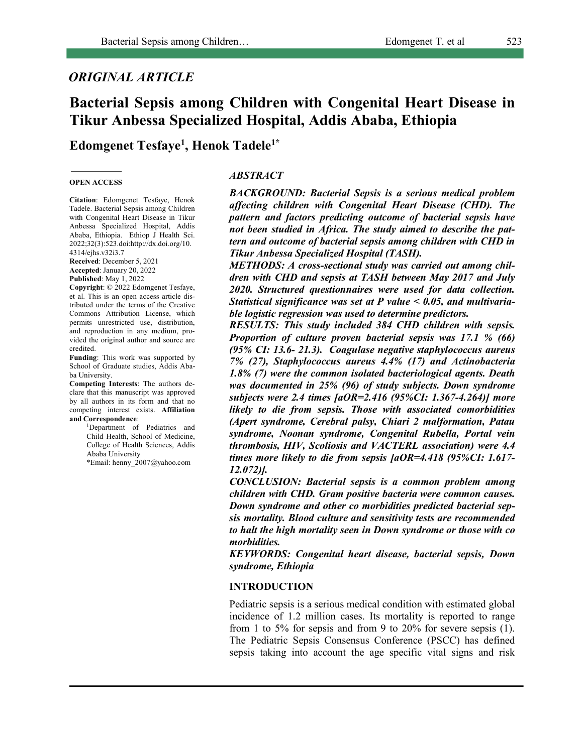# *ORIGINAL ARTICLE*

# **Bacterial Sepsis among Children with Congenital Heart Disease in Tikur Anbessa Specialized Hospital, Addis Ababa, Ethiopia**

**Edomgenet Tesfaye1 , Henok Tadele1\***

#### **OPEN ACCESS**

**Citation**: Edomgenet Tesfaye, Henok Tadele. Bacterial Sepsis among Children with Congenital Heart Disease in Tikur Anbessa Specialized Hospital, Addis Ababa, Ethiopia. Ethiop J Health Sci. 2022;32(3):523.doi:http://dx.doi.org/10. 4314/ejhs.v32i3.7

**Received**: December 5, 2021 **Accepted**: January 20, 2022 **Published**: May 1, 2022

**Copyright**: © 2022 Edomgenet Tesfaye, et al. This is an open access article distributed under the terms of the Creative Commons Attribution License, which permits unrestricted use, distribution, and reproduction in any medium, provided the original author and source are credited.

**Funding**: This work was supported by School of Graduate studies, Addis Ababa University.

**Competing Interests**: The authors declare that this manuscript was approved by all authors in its form and that no competing interest exists. **Affiliation and Correspondence**:

> 1 Department of Pediatrics and Child Health, School of Medicine, College of Health Sciences, Addis Ababa University \*Email: henny\_2007@yahoo.com

#### *ABSTRACT*

*BACKGROUND: Bacterial Sepsis is a serious medical problem affecting children with Congenital Heart Disease (CHD). The pattern and factors predicting outcome of bacterial sepsis have not been studied in Africa. The study aimed to describe the pattern and outcome of bacterial sepsis among children with CHD in Tikur Anbessa Specialized Hospital (TASH).*

*METHODS: A cross-sectional study was carried out among children with CHD and sepsis at TASH between May 2017 and July 2020. Structured questionnaires were used for data collection. Statistical significance was set at P value < 0.05, and multivariable logistic regression was used to determine predictors.* 

*RESULTS: This study included 384 CHD children with sepsis. Proportion of culture proven bacterial sepsis was 17.1 % (66) (95% CI: 13.6- 21.3). Coagulase negative staphylococcus aureus 7% (27), Staphylococcus aureus 4.4% (17) and Actinobacteria 1.8% (7) were the common isolated bacteriological agents. Death was documented in 25% (96) of study subjects. Down syndrome subjects were 2.4 times [aOR=2.416 (95%CI: 1.367-4.264)] more likely to die from sepsis. Those with associated comorbidities (Apert syndrome, Cerebral palsy, Chiari 2 malformation, Patau syndrome, Noonan syndrome, Congenital Rubella, Portal vein thrombosis, HIV, Scoliosis and VACTERL association) were 4.4 times more likely to die from sepsis [aOR=4.418 (95%CI: 1.617- 12.072)].* 

*CONCLUSION: Bacterial sepsis is a common problem among children with CHD. Gram positive bacteria were common causes. Down syndrome and other co morbidities predicted bacterial sepsis mortality. Blood culture and sensitivity tests are recommended to halt the high mortality seen in Down syndrome or those with co morbidities.* 

*KEYWORDS: Congenital heart disease, bacterial sepsis, Down syndrome, Ethiopia*

#### **INTRODUCTION**

Pediatric sepsis is a serious medical condition with estimated global incidence of 1.2 million cases. Its mortality is reported to range from 1 to 5% for sepsis and from 9 to 20% for severe sepsis (1). The Pediatric Sepsis Consensus Conference (PSCC) has defined sepsis taking into account the age specific vital signs and risk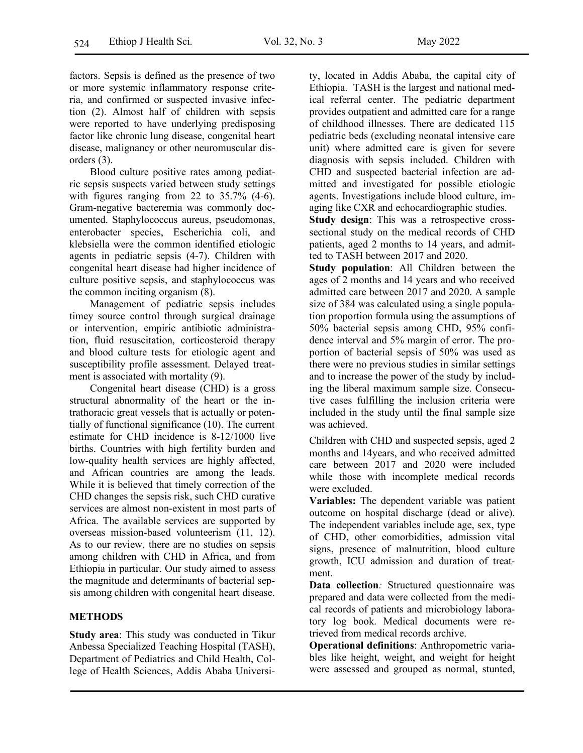factors. Sepsis is defined as the presence of two or more systemic inflammatory response criteria, and confirmed or suspected invasive infection (2). Almost half of children with sepsis were reported to have underlying predisposing factor like chronic lung disease, congenital heart disease, malignancy or other neuromuscular disorders (3).

Blood culture positive rates among pediatric sepsis suspects varied between study settings with figures ranging from 22 to 35.7% (4-6). Gram-negative bacteremia was commonly documented. Staphylococcus aureus, pseudomonas, enterobacter species, Escherichia coli, and klebsiella were the common identified etiologic agents in pediatric sepsis (4-7). Children with congenital heart disease had higher incidence of culture positive sepsis, and staphylococcus was the common inciting organism (8).

Management of pediatric sepsis includes timey source control through surgical drainage or intervention, empiric antibiotic administration, fluid resuscitation, corticosteroid therapy and blood culture tests for etiologic agent and susceptibility profile assessment. Delayed treatment is associated with mortality (9).

Congenital heart disease (CHD) is a gross structural abnormality of the heart or the intrathoracic great vessels that is actually or potentially of functional significance (10). The current estimate for CHD incidence is 8-12/1000 live births. Countries with high fertility burden and low-quality health services are highly affected, and African countries are among the leads. While it is believed that timely correction of the CHD changes the sepsis risk, such CHD curative services are almost non-existent in most parts of Africa. The available services are supported by overseas mission-based volunteerism (11, 12). As to our review, there are no studies on sepsis among children with CHD in Africa, and from Ethiopia in particular. Our study aimed to assess the magnitude and determinants of bacterial sepsis among children with congenital heart disease.

# **METHODS**

**Study area**: This study was conducted in Tikur Anbessa Specialized Teaching Hospital (TASH), Department of Pediatrics and Child Health, College of Health Sciences, Addis Ababa University, located in Addis Ababa, the capital city of Ethiopia. TASH is the largest and national medical referral center. The pediatric department provides outpatient and admitted care for a range of childhood illnesses. There are dedicated 115 pediatric beds (excluding neonatal intensive care unit) where admitted care is given for severe diagnosis with sepsis included. Children with CHD and suspected bacterial infection are admitted and investigated for possible etiologic agents. Investigations include blood culture, imaging like CXR and echocardiographic studies.

**Study design**: This was a retrospective crosssectional study on the medical records of CHD patients, aged 2 months to 14 years, and admitted to TASH between 2017 and 2020.

**Study population**: All Children between the ages of 2 months and 14 years and who received admitted care between 2017 and 2020. A sample size of 384 was calculated using a single population proportion formula using the assumptions of 50% bacterial sepsis among CHD, 95% confidence interval and 5% margin of error. The proportion of bacterial sepsis of 50% was used as there were no previous studies in similar settings and to increase the power of the study by including the liberal maximum sample size. Consecutive cases fulfilling the inclusion criteria were included in the study until the final sample size was achieved.

Children with CHD and suspected sepsis, aged 2 months and 14years, and who received admitted care between 2017 and 2020 were included while those with incomplete medical records were excluded.

**Variables:** The dependent variable was patient outcome on hospital discharge (dead or alive). The independent variables include age, sex, type of CHD, other comorbidities, admission vital signs, presence of malnutrition, blood culture growth, ICU admission and duration of treatment.

**Data collection***:* Structured questionnaire was prepared and data were collected from the medical records of patients and microbiology laboratory log book. Medical documents were retrieved from medical records archive.

**Operational definitions**: Anthropometric variables like height, weight, and weight for height were assessed and grouped as normal, stunted,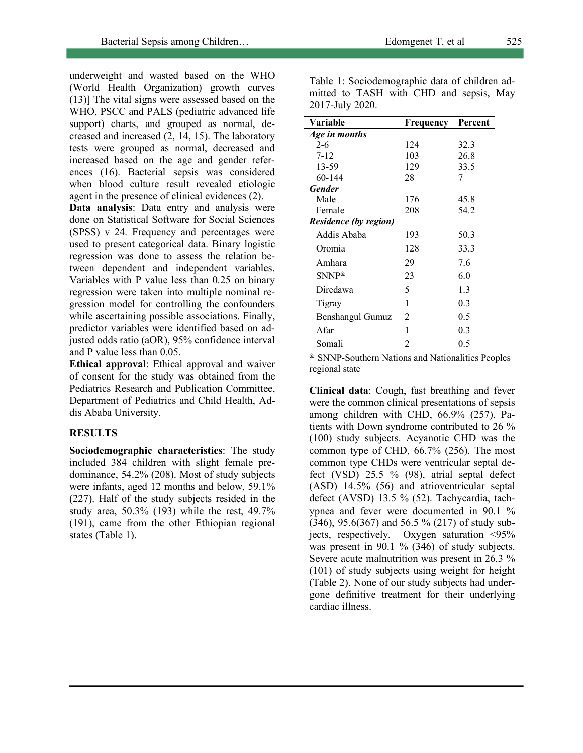Table 1: Sociodemographic data of children admitted to TASH with CHD and sepsis, May

underweight and wasted based on the WHO (World Health Organization) growth curves (13)] The vital signs were assessed based on the WHO, PSCC and PALS (pediatric advanced life support) charts, and grouped as normal, decreased and increased (2, 14, 15). The laboratory tests were grouped as normal, decreased and increased based on the age and gender references (16). Bacterial sepsis was considered when blood culture result revealed etiologic agent in the presence of clinical evidences (2).

**Data analysis**: Data entry and analysis were done on Statistical Software for Social Sciences (SPSS) v 24. Frequency and percentages were used to present categorical data. Binary logistic regression was done to assess the relation between dependent and independent variables. Variables with P value less than 0.25 on binary regression were taken into multiple nominal regression model for controlling the confounders while ascertaining possible associations. Finally, predictor variables were identified based on adjusted odds ratio (aOR), 95% confidence interval and P value less than 0.05.

**Ethical approval**: Ethical approval and waiver of consent for the study was obtained from the Pediatrics Research and Publication Committee, Department of Pediatrics and Child Health, Addis Ababa University.

### **RESULTS**

**Sociodemographic characteristics**: The study included 384 children with slight female predominance, 54.2% (208). Most of study subjects were infants, aged 12 months and below, 59.1% (227). Half of the study subjects resided in the study area, 50.3% (193) while the rest, 49.7% (191), came from the other Ethiopian regional states (Table 1).

| 2017-July 2020. |           |         |
|-----------------|-----------|---------|
| <b>Variable</b> | Frequency | Percent |
| Age in months   |           |         |
| $2 - 6$         | 124       | 32.3    |
| $7 - 12$        | 103       | 26.8    |
| 13-59           | 129       | 33.5    |
| $60 - 144$      | 28        |         |
| $\sim$ $\sim$   |           |         |

| 13-39                        | 129            | 33.3 |
|------------------------------|----------------|------|
| 60-144                       | 28             |      |
| <b>Gender</b>                |                |      |
| Male                         | 176            | 45.8 |
| Female                       | 208            | 54.2 |
| <b>Residence (by region)</b> |                |      |
| Addis Ababa                  | 193            | 50.3 |
| Oromia                       | 128            | 33.3 |
| Amhara                       | 29             | 7.6  |
| $SNNP^{\&}$                  | 23             | 6.0  |
| Diredawa                     | 5              | 1.3  |
| Tigray                       | 1              | 0.3  |
| Benshangul Gumuz             | $\overline{2}$ | 0.5  |
| Afar                         | 1              | 0.3  |
| Somali                       | 2              | 0.5  |

&: SNNP-Southern Nations and Nationalities Peoples regional state

**Clinical data**: Cough, fast breathing and fever were the common clinical presentations of sepsis among children with CHD, 66.9% (257). Patients with Down syndrome contributed to 26 % (100) study subjects. Acyanotic CHD was the common type of CHD, 66.7% (256). The most common type CHDs were ventricular septal defect (VSD) 25.5 % (98), atrial septal defect (ASD) 14.5% (56) and atrioventricular septal defect (AVSD) 13.5 % (52). Tachycardia, tachypnea and fever were documented in 90.1 % (346), 95.6(367) and 56.5 % (217) of study subjects, respectively. Oxygen saturation <95% was present in 90.1 % (346) of study subjects. Severe acute malnutrition was present in 26.3 % (101) of study subjects using weight for height (Table 2). None of our study subjects had undergone definitive treatment for their underlying cardiac illness.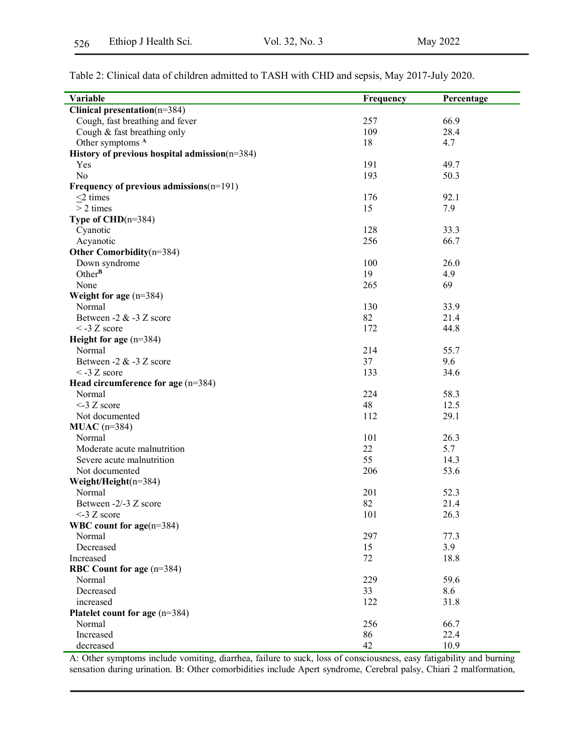| Table 2: Clinical data of children admitted to TASH with CHD and sepsis, May 2017-July 2020. |  |
|----------------------------------------------------------------------------------------------|--|
|----------------------------------------------------------------------------------------------|--|

| Variable                                      | Frequency | Percentage |
|-----------------------------------------------|-----------|------------|
| Clinical presentation(n=384)                  |           |            |
| Cough, fast breathing and fever               | 257       | 66.9       |
| Cough & fast breathing only                   | 109       | 28.4       |
| Other symptoms <sup>A</sup>                   | 18        | 4.7        |
| History of previous hospital admission(n=384) |           |            |
| Yes                                           | 191       | 49.7       |
| N <sub>o</sub>                                | 193       | 50.3       |
| Frequency of previous admissions $(n=191)$    |           |            |
| $\leq$ 2 times                                | 176       | 92.1       |
| $> 2$ times                                   | 15        | 7.9        |
| Type of $CHD(n=384)$                          |           |            |
| Cyanotic                                      | 128       | 33.3       |
| Acyanotic                                     | 256       | 66.7       |
| Other Comorbidity(n=384)                      |           |            |
| Down syndrome                                 | 100       | 26.0       |
| $Other^B$                                     | 19        | 4.9        |
| None                                          | 265       | 69         |
| Weight for age $(n=384)$                      |           |            |
| Normal                                        | 130       | 33.9       |
| Between -2 $&$ -3 $Z$ score                   | 82        | 21.4       |
| $<$ -3 Z score                                | 172       | 44.8       |
| Height for age $(n=384)$                      |           |            |
| Normal                                        | 214       | 55.7       |
| Between -2 $&$ -3 $Z$ score                   | 37        | 9.6        |
| $<$ -3 Z score                                | 133       | 34.6       |
| Head circumference for age $(n=384)$          |           |            |
| Normal                                        | 224       | 58.3       |
| $<$ -3 Z score                                | 48        | 12.5       |
| Not documented                                | 112       | 29.1       |
| $MUAC$ (n=384)                                |           |            |
| Normal                                        | 101       | 26.3       |
| Moderate acute malnutrition                   | 22        | 5.7        |
| Severe acute malnutrition                     | 55        | 14.3       |
| Not documented                                | 206       | 53.6       |
| Weight/Height(n=384)                          |           |            |
| Normal                                        | 201       | 52.3       |
| Between -2/-3 Z score                         | 82        | 21.4       |
| $<$ -3 Z score                                | 101       | 26.3       |
| WBC count for $age(n=384)$                    |           |            |
| Normal                                        | 297       | 77.3       |
| Decreased                                     | 15        | 3.9        |
| Increased                                     | 72        | 18.8       |
| RBC Count for age $(n=384)$                   |           |            |
| Normal                                        | 229       | 59.6       |
| Decreased                                     | 33        | 8.6        |
| increased                                     | 122       | 31.8       |
| Platelet count for age $(n=384)$              |           |            |
| Normal                                        | 256       | 66.7       |
| Increased                                     | 86        | 22.4       |
| decreased                                     | 42        | 10.9       |

A: Other symptoms include vomiting, diarrhea, failure to suck, loss of consciousness, easy fatigability and burning sensation during urination. B: Other comorbidities include Apert syndrome, Cerebral palsy, Chiari 2 malformation,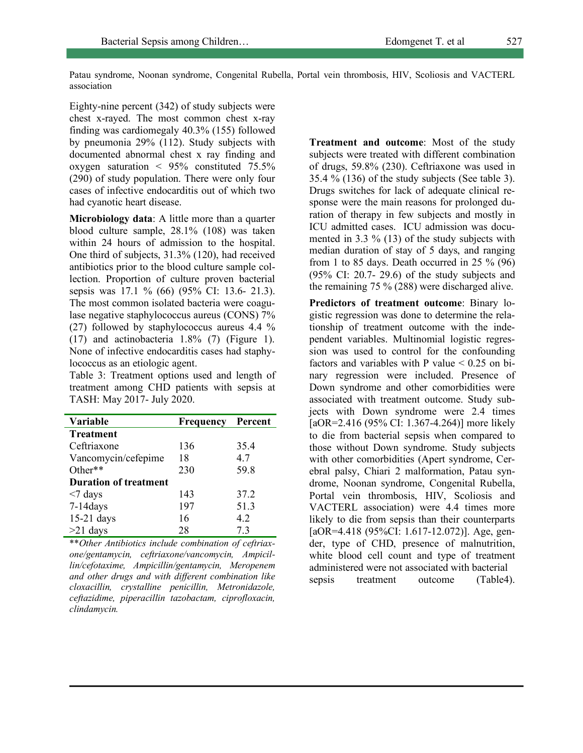Patau syndrome, Noonan syndrome, Congenital Rubella, Portal vein thrombosis, HIV, Scoliosis and VACTERL association

Eighty-nine percent (342) of study subjects were chest x-rayed. The most common chest x-ray finding was cardiomegaly 40.3% (155) followed by pneumonia 29% (112). Study subjects with documented abnormal chest x ray finding and oxygen saturation < 95% constituted 75.5% (290) of study population. There were only four cases of infective endocarditis out of which two had cyanotic heart disease.

**Microbiology data**: A little more than a quarter blood culture sample, 28.1% (108) was taken within 24 hours of admission to the hospital. One third of subjects, 31.3% (120), had received antibiotics prior to the blood culture sample collection. Proportion of culture proven bacterial sepsis was 17.1 % (66) (95% CI: 13.6- 21.3). The most common isolated bacteria were coagulase negative staphylococcus aureus (CONS) 7% (27) followed by staphylococcus aureus 4.4 % (17) and actinobacteria 1.8% (7) (Figure 1). None of infective endocarditis cases had staphylococcus as an etiologic agent.

Table 3: Treatment options used and length of treatment among CHD patients with sepsis at TASH: May 2017- July 2020.

| Variable                     | Frequency | Percent |
|------------------------------|-----------|---------|
| <b>Treatment</b>             |           |         |
| Ceftriaxone                  | 136       | 35.4    |
| Vancomycin/cefepime          | 18        | 4.7     |
| Other**                      | 230       | 59.8    |
| <b>Duration of treatment</b> |           |         |
| $<$ 7 days                   | 143       | 37.2    |
| $7-14$ days                  | 197       | 51.3    |
| $15-21$ days                 | 16        | 4.2     |
| $>21$ days                   | 28        | 73      |

\*\**Other Antibiotics include combination of ceftriaxone/gentamycin, ceftriaxone/vancomycin, Ampicillin/cefotaxime, Ampicillin/gentamycin, Meropenem and other drugs and with different combination like cloxacillin, crystalline penicillin, Metronidazole, ceftazidime, piperacillin tazobactam, ciprofloxacin, clindamycin.*

**Treatment and outcome**: Most of the study subjects were treated with different combination of drugs, 59.8% (230). Ceftriaxone was used in 35.4 % (136) of the study subjects (See table 3). Drugs switches for lack of adequate clinical response were the main reasons for prolonged duration of therapy in few subjects and mostly in ICU admitted cases. ICU admission was documented in 3.3 % (13) of the study subjects with median duration of stay of 5 days, and ranging from 1 to 85 days. Death occurred in 25  $\%$  (96) (95% CI: 20.7- 29.6) of the study subjects and the remaining 75 % (288) were discharged alive.

**Predictors of treatment outcome**: Binary logistic regression was done to determine the relationship of treatment outcome with the independent variables. Multinomial logistic regression was used to control for the confounding factors and variables with P value  $\leq 0.25$  on binary regression were included. Presence of Down syndrome and other comorbidities were associated with treatment outcome. Study subjects with Down syndrome were 2.4 times [aOR=2.416 (95% CI: 1.367-4.264)] more likely to die from bacterial sepsis when compared to those without Down syndrome. Study subjects with other comorbidities (Apert syndrome, Cerebral palsy, Chiari 2 malformation, Patau syndrome, Noonan syndrome, Congenital Rubella, Portal vein thrombosis, HIV, Scoliosis and VACTERL association) were 4.4 times more likely to die from sepsis than their counterparts [aOR=4.418 (95%CI: 1.617-12.072)]. Age, gender, type of CHD, presence of malnutrition, white blood cell count and type of treatment administered were not associated with bacterial sepsis treatment outcome (Table4).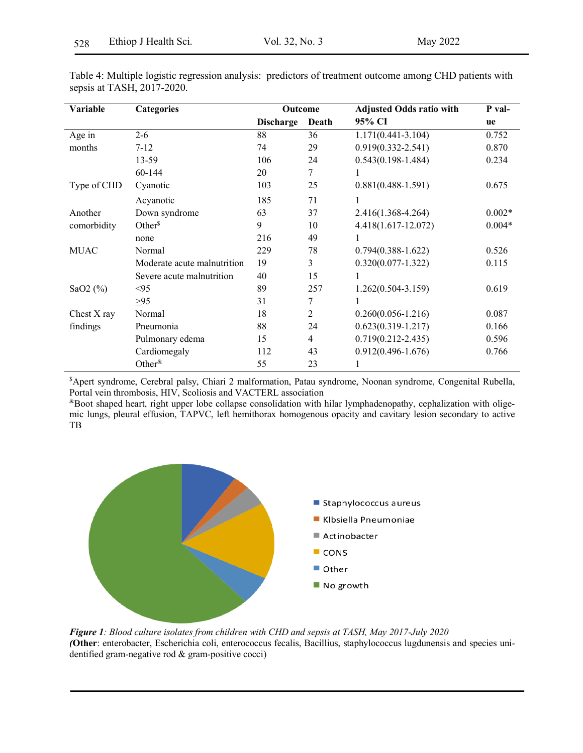| Variable    | <b>Categories</b>           | Outcome          |                | <b>Adjusted Odds ratio with</b> | P val-   |
|-------------|-----------------------------|------------------|----------------|---------------------------------|----------|
|             |                             | <b>Discharge</b> | Death          | 95% CI                          | ue       |
| Age in      | $2 - 6$                     | 88               | 36             | $1.171(0.441 - 3.104)$          | 0.752    |
| months      | $7 - 12$                    | 74               | 29             | $0.919(0.332 - 2.541)$          | 0.870    |
|             | 13-59                       | 106              | 24             | $0.543(0.198 - 1.484)$          | 0.234    |
|             | 60-144                      | 20               | 7              |                                 |          |
| Type of CHD | Cyanotic                    | 103              | 25             | $0.881(0.488 - 1.591)$          | 0.675    |
|             | Acyanotic                   | 185              | 71             | 1                               |          |
| Another     | Down syndrome               | 63               | 37             | $2.416(1.368 - 4.264)$          | $0.002*$ |
| comorbidity | Other $\delta$              | 9                | 10             | 4.418(1.617-12.072)             | $0.004*$ |
|             | none                        | 216              | 49             | 1                               |          |
| <b>MUAC</b> | Normal                      | 229              | 78             | $0.794(0.388 - 1.622)$          | 0.526    |
|             | Moderate acute malnutrition | 19               | 3              | $0.320(0.077 - 1.322)$          | 0.115    |
|             | Severe acute malnutrition   | 40               | 15             | 1                               |          |
| SaO2 $(\%)$ | < 95                        | 89               | 257            | $1.262(0.504 - 3.159)$          | 0.619    |
|             | $\geq 95$                   | 31               | 7              |                                 |          |
| Chest X ray | Normal                      | 18               | $\overline{2}$ | $0.260(0.056 - 1.216)$          | 0.087    |
| findings    | Pneumonia                   | 88               | 24             | $0.623(0.319 - 1.217)$          | 0.166    |
|             | Pulmonary edema             | 15               | $\overline{4}$ | $0.719(0.212 - 2.435)$          | 0.596    |
|             | Cardiomegaly                | 112              | 43             | $0.912(0.496 - 1.676)$          | 0.766    |
|             | Other $\&$                  | 55               | 23             |                                 |          |

Table 4: Multiple logistic regression analysis: predictors of treatment outcome among CHD patients with sepsis at TASH, 2017-2020.

\$ Apert syndrome, Cerebral palsy, Chiari 2 malformation, Patau syndrome, Noonan syndrome, Congenital Rubella, Portal vein thrombosis, HIV, Scoliosis and VACTERL association

&Boot shaped heart, right upper lobe collapse consolidation with hilar lymphadenopathy, cephalization with oligemic lungs, pleural effusion, TAPVC, left hemithorax homogenous opacity and cavitary lesion secondary to active TB



*Figure 1: Blood culture isolates from children with CHD and sepsis at TASH, May 2017-July 2020 (***Other**: enterobacter, Escherichia coli, enterococcus fecalis, Bacillius, staphylococcus lugdunensis and species unidentified gram-negative rod & gram-positive cocci)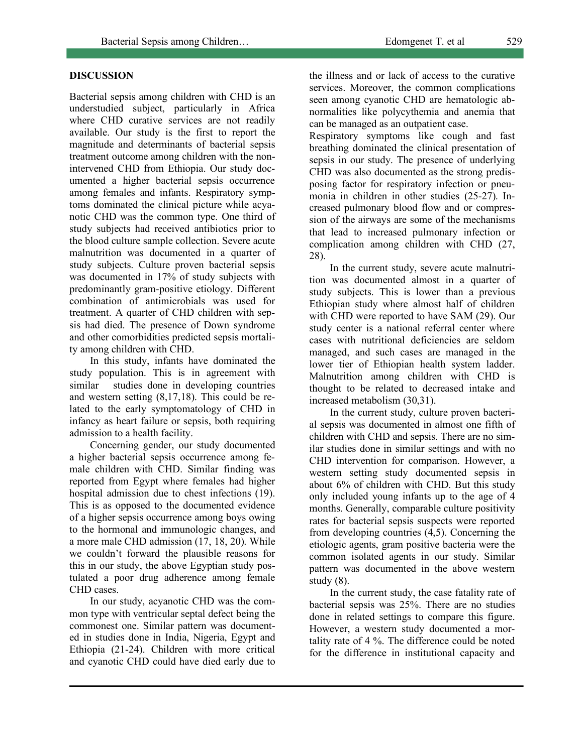## **DISCUSSION**

Bacterial sepsis among children with CHD is an understudied subject, particularly in Africa where CHD curative services are not readily available. Our study is the first to report the magnitude and determinants of bacterial sepsis treatment outcome among children with the nonintervened CHD from Ethiopia. Our study documented a higher bacterial sepsis occurrence among females and infants. Respiratory symptoms dominated the clinical picture while acyanotic CHD was the common type. One third of study subjects had received antibiotics prior to the blood culture sample collection. Severe acute malnutrition was documented in a quarter of study subjects. Culture proven bacterial sepsis was documented in 17% of study subjects with predominantly gram-positive etiology. Different combination of antimicrobials was used for treatment. A quarter of CHD children with sepsis had died. The presence of Down syndrome and other comorbidities predicted sepsis mortality among children with CHD.

In this study, infants have dominated the study population. This is in agreement with similar studies done in developing countries and western setting (8,17,18). This could be related to the early symptomatology of CHD in infancy as heart failure or sepsis, both requiring admission to a health facility.

Concerning gender, our study documented a higher bacterial sepsis occurrence among female children with CHD. Similar finding was reported from Egypt where females had higher hospital admission due to chest infections (19). This is as opposed to the documented evidence of a higher sepsis occurrence among boys owing to the hormonal and immunologic changes, and a more male CHD admission (17, 18, 20). While we couldn't forward the plausible reasons for this in our study, the above Egyptian study postulated a poor drug adherence among female CHD cases.

In our study, acyanotic CHD was the common type with ventricular septal defect being the commonest one. Similar pattern was documented in studies done in India, Nigeria, Egypt and Ethiopia (21-24). Children with more critical and cyanotic CHD could have died early due to

the illness and or lack of access to the curative services. Moreover, the common complications seen among cyanotic CHD are hematologic abnormalities like polycythemia and anemia that can be managed as an outpatient case.

Respiratory symptoms like cough and fast breathing dominated the clinical presentation of sepsis in our study. The presence of underlying CHD was also documented as the strong predisposing factor for respiratory infection or pneumonia in children in other studies (25-27). Increased pulmonary blood flow and or compression of the airways are some of the mechanisms that lead to increased pulmonary infection or complication among children with CHD (27, 28).

In the current study, severe acute malnutrition was documented almost in a quarter of study subjects. This is lower than a previous Ethiopian study where almost half of children with CHD were reported to have SAM (29). Our study center is a national referral center where cases with nutritional deficiencies are seldom managed, and such cases are managed in the lower tier of Ethiopian health system ladder. Malnutrition among children with CHD is thought to be related to decreased intake and increased metabolism (30,31).

In the current study, culture proven bacterial sepsis was documented in almost one fifth of children with CHD and sepsis. There are no similar studies done in similar settings and with no CHD intervention for comparison. However, a western setting study documented sepsis in about 6% of children with CHD. But this study only included young infants up to the age of 4 months. Generally, comparable culture positivity rates for bacterial sepsis suspects were reported from developing countries (4,5). Concerning the etiologic agents, gram positive bacteria were the common isolated agents in our study. Similar pattern was documented in the above western study (8).

In the current study, the case fatality rate of bacterial sepsis was 25%. There are no studies done in related settings to compare this figure. However, a western study documented a mortality rate of 4 %. The difference could be noted for the difference in institutional capacity and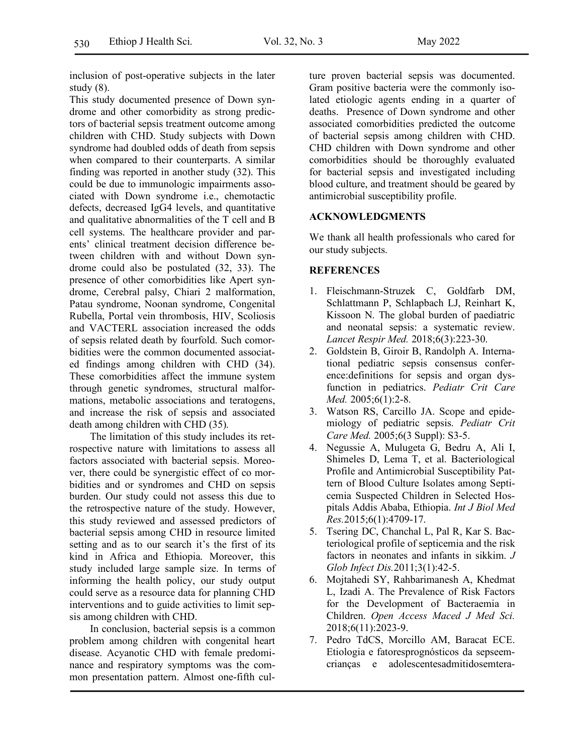inclusion of post-operative subjects in the later study (8).

This study documented presence of Down syndrome and other comorbidity as strong predictors of bacterial sepsis treatment outcome among children with CHD. Study subjects with Down syndrome had doubled odds of death from sepsis when compared to their counterparts. A similar finding was reported in another study (32). This could be due to immunologic impairments associated with Down syndrome i.e., chemotactic defects, decreased IgG4 levels, and quantitative and qualitative abnormalities of the T cell and B cell systems. The healthcare provider and parents' clinical treatment decision difference between children with and without Down syndrome could also be postulated (32, 33). The presence of other comorbidities like Apert syndrome, Cerebral palsy, Chiari 2 malformation, Patau syndrome, Noonan syndrome, Congenital Rubella, Portal vein thrombosis, HIV, Scoliosis and VACTERL association increased the odds of sepsis related death by fourfold. Such comorbidities were the common documented associated findings among children with CHD (34). These comorbidities affect the immune system through genetic syndromes, structural malformations, metabolic associations and teratogens, and increase the risk of sepsis and associated death among children with CHD (35).

The limitation of this study includes its retrospective nature with limitations to assess all factors associated with bacterial sepsis. Moreover, there could be synergistic effect of co morbidities and or syndromes and CHD on sepsis burden. Our study could not assess this due to the retrospective nature of the study. However, this study reviewed and assessed predictors of bacterial sepsis among CHD in resource limited setting and as to our search it's the first of its kind in Africa and Ethiopia. Moreover, this study included large sample size. In terms of informing the health policy, our study output could serve as a resource data for planning CHD interventions and to guide activities to limit sepsis among children with CHD.

In conclusion, bacterial sepsis is a common problem among children with congenital heart disease. Acyanotic CHD with female predominance and respiratory symptoms was the common presentation pattern. Almost one-fifth culture proven bacterial sepsis was documented. Gram positive bacteria were the commonly isolated etiologic agents ending in a quarter of deaths. Presence of Down syndrome and other associated comorbidities predicted the outcome of bacterial sepsis among children with CHD. CHD children with Down syndrome and other comorbidities should be thoroughly evaluated for bacterial sepsis and investigated including blood culture, and treatment should be geared by antimicrobial susceptibility profile.

### **ACKNOWLEDGMENTS**

We thank all health professionals who cared for our study subjects.

### **REFERENCES**

- 1. Fleischmann-Struzek C, Goldfarb DM, Schlattmann P, Schlapbach LJ, Reinhart K, Kissoon N. The global burden of paediatric and neonatal sepsis: a systematic review. *Lancet Respir Med.* 2018;6(3):223-30.
- 2. Goldstein B, Giroir B, Randolph A. International pediatric sepsis consensus conference:definitions for sepsis and organ dysfunction in pediatrics. *Pediatr Crit Care Med.* 2005;6(1):2-8.
- 3. Watson RS, Carcillo JA. Scope and epidemiology of pediatric sepsis. *Pediatr Crit Care Med.* 2005;6(3 Suppl): S3-5.
- 4. Negussie A, Mulugeta G, Bedru A, Ali I, Shimeles D, Lema T, et al. Bacteriological Profile and Antimicrobial Susceptibility Pattern of Blood Culture Isolates among Septicemia Suspected Children in Selected Hospitals Addis Ababa, Ethiopia. *Int J Biol Med Res.*2015;6(1):4709-17.
- 5. Tsering DC, Chanchal L, Pal R, Kar S. Bacteriological profile of septicemia and the risk factors in neonates and infants in sikkim. *J Glob Infect Dis.*2011;3(1):42-5.
- 6. Mojtahedi SY, Rahbarimanesh A, Khedmat L, Izadi A. The Prevalence of Risk Factors for the Development of Bacteraemia in Children. *Open Access Maced J Med Sci.* 2018;6(11):2023-9.
- 7. Pedro TdCS, Morcillo AM, Baracat ECE. Etiologia e fatoresprognósticos da sepseemcrianças e adolescentesadmitidosemtera-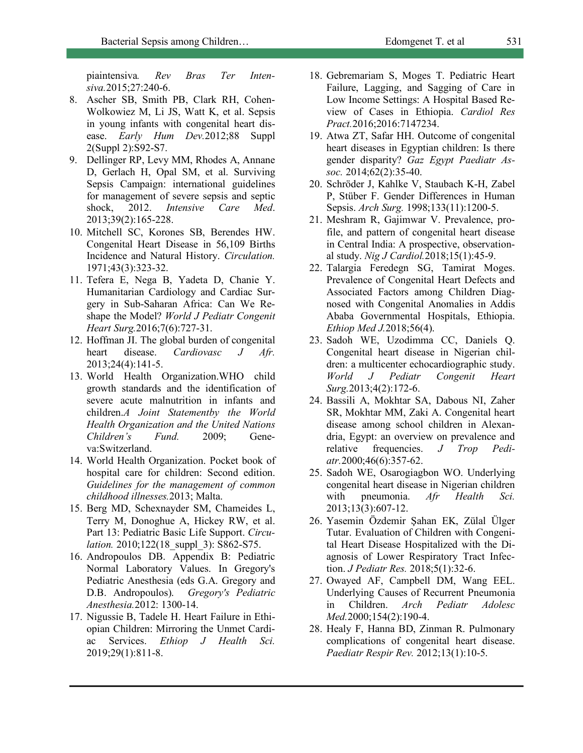piaintensiva*. Rev Bras Ter Intensiva.*2015;27:240-6.

- 8. Ascher SB, Smith PB, Clark RH, Cohen-Wolkowiez M, Li JS, Watt K, et al. Sepsis in young infants with congenital heart disease. *Early Hum Dev.*2012;88 Suppl 2(Suppl 2):S92-S7.
- 9. Dellinger RP, Levy MM, Rhodes A, Annane D, Gerlach H, Opal SM, et al. Surviving Sepsis Campaign: international guidelines for management of severe sepsis and septic shock, 2012. *Intensive Care Med*. 2013;39(2):165-228.
- 10. Mitchell SC, Korones SB, Berendes HW. Congenital Heart Disease in 56,109 Births Incidence and Natural History. *Circulation.*  1971;43(3):323-32.
- 11. Tefera E, Nega B, Yadeta D, Chanie Y. Humanitarian Cardiology and Cardiac Surgery in Sub-Saharan Africa: Can We Reshape the Model? *World J Pediatr Congenit Heart Surg.*2016;7(6):727-31.
- 12. Hoffman JI. The global burden of congenital heart disease. *Cardiovasc J Afr.* 2013;24(4):141-5.
- 13. World Health Organization.WHO child growth standards and the identification of severe acute malnutrition in infants and children.*A Joint Statementby the World Health Organization and the United Nations Children's Fund.* 2009; Geneva:Switzerland.
- 14. World Health Organization. Pocket book of hospital care for children: Second edition. *Guidelines for the management of common childhood illnesses.*2013; Malta.
- 15. Berg MD, Schexnayder SM, Chameides L, Terry M, Donoghue A, Hickey RW, et al. Part 13: Pediatric Basic Life Support. *Circulation.* 2010;122(18 suppl 3): S862-S75.
- 16. Andropoulos DB. Appendix B: Pediatric Normal Laboratory Values. In Gregory's Pediatric Anesthesia (eds G.A. Gregory and D.B. Andropoulos). *Gregory's Pediatric Anesthesia.*2012: 1300-14.
- 17. Nigussie B, Tadele H. Heart Failure in Ethiopian Children: Mirroring the Unmet Cardiac Services. *Ethiop J Health Sci.* 2019;29(1):811-8.
- 18. Gebremariam S, Moges T. Pediatric Heart Failure, Lagging, and Sagging of Care in Low Income Settings: A Hospital Based Review of Cases in Ethiopia. *Cardiol Res Pract.*2016;2016:7147234.
- 19. Atwa ZT, Safar HH. Outcome of congenital heart diseases in Egyptian children: Is there gender disparity? *Gaz Egypt Paediatr Assoc.* 2014;62(2):35-40.
- 20. Schröder J, Kahlke V, Staubach K-H, Zabel P, Stüber F. Gender Differences in Human Sepsis. *Arch Surg.* 1998;133(11):1200-5.
- 21. Meshram R, Gajimwar V. Prevalence, profile, and pattern of congenital heart disease in Central India: A prospective, observational study. *Nig J Cardiol.*2018;15(1):45-9.
- 22. Talargia Feredegn SG, Tamirat Moges. Prevalence of Congenital Heart Defects and Associated Factors among Children Diagnosed with Congenital Anomalies in Addis Ababa Governmental Hospitals, Ethiopia. *Ethiop Med J.*2018;56(4).
- 23. Sadoh WE, Uzodimma CC, Daniels Q. Congenital heart disease in Nigerian children: a multicenter echocardiographic study. *World J Pediatr Congenit Heart Surg.*2013;4(2):172-6.
- 24. Bassili A, Mokhtar SA, Dabous NI, Zaher SR, Mokhtar MM, Zaki A. Congenital heart disease among school children in Alexandria, Egypt: an overview on prevalence and relative frequencies. *J Trop Pediatr.*2000;46(6):357-62.
- 25. Sadoh WE, Osarogiagbon WO. Underlying congenital heart disease in Nigerian children with pneumonia. *Afr Health Sci.* 2013;13(3):607-12.
- 26. Yasemin Özdemir Şahan EK, Zülal Ülger Tutar. Evaluation of Children with Congenital Heart Disease Hospitalized with the Diagnosis of Lower Respiratory Tract Infection. *J Pediatr Res.* 2018;5(1):32-6.
- 27. Owayed AF, Campbell DM, Wang EEL. Underlying Causes of Recurrent Pneumonia in Children. *Arch Pediatr Adolesc Med.*2000;154(2):190-4.
- 28. Healy F, Hanna BD, Zinman R. Pulmonary complications of congenital heart disease. *Paediatr Respir Rev.* 2012;13(1):10-5.